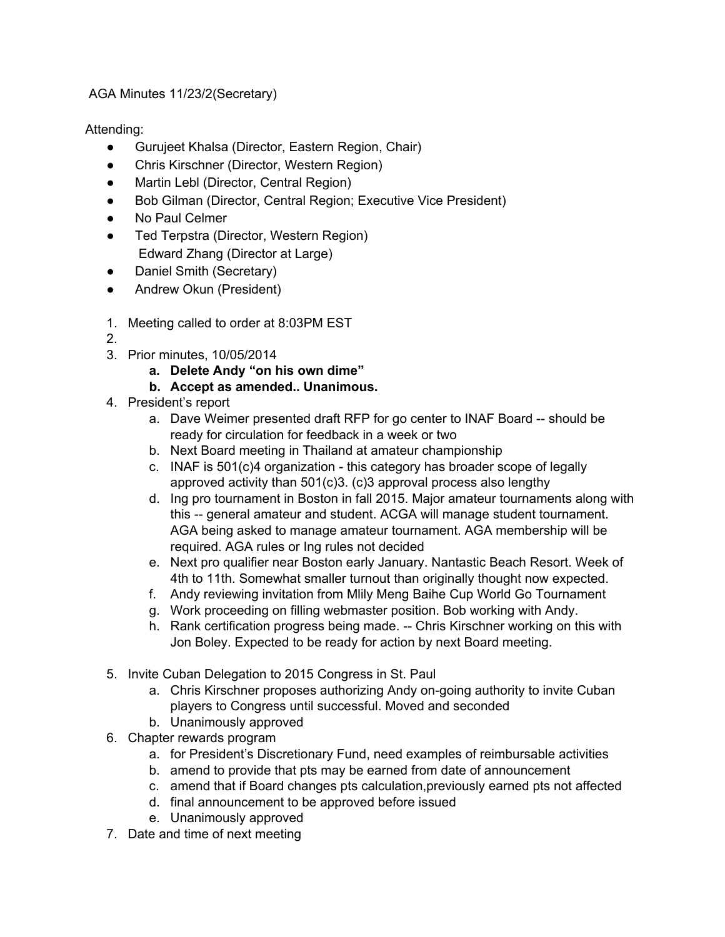AGA Minutes 11/23/2(Secretary)

Attending:

- Gurujeet Khalsa (Director, Eastern Region, Chair)
- Chris Kirschner (Director, Western Region)
- Martin Lebl (Director, Central Region)
- Bob Gilman (Director, Central Region; Executive Vice President)
- **No Paul Celmer**
- Ted Terpstra (Director, Western Region) Edward Zhang (Director at Large)
- Daniel Smith (Secretary)
- Andrew Okun (President)
- 1. Meeting called to order at 8:03PM EST
- 2.
- 3. Prior minutes, 10/05/2014
	- **a. Delete Andy "on his own dime"**
	- **b. Accept as amended.. Unanimous.**
- 4. President's report
	- a. Dave Weimer presented draft RFP for go center to INAF Board -- should be ready for circulation for feedback in a week or two
	- b. Next Board meeting in Thailand at amateur championship
	- c. INAF is  $501(c)$ 4 organization this category has broader scope of legally approved activity than 501(c)3. (c)3 approval process also lengthy
	- d. Ing pro tournament in Boston in fall 2015. Major amateur tournaments along with this -- general amateur and student. ACGA will manage student tournament. AGA being asked to manage amateur tournament. AGA membership will be required. AGA rules or Ing rules not decided
	- e. Next pro qualifier near Boston early January. Nantastic Beach Resort. Week of 4th to 11th. Somewhat smaller turnout than originally thought now expected.
	- f. Andy reviewing invitation from Mlily Meng Baihe Cup World Go Tournament
	- g. Work proceeding on filling webmaster position. Bob working with Andy.
	- h. Rank certification progress being made. -- Chris Kirschner working on this with Jon Boley. Expected to be ready for action by next Board meeting.
- 5. Invite Cuban Delegation to 2015 Congress in St. Paul
	- a. Chris Kirschner proposes authorizing Andy on-going authority to invite Cuban players to Congress until successful. Moved and seconded
	- b. Unanimously approved
- 6. Chapter rewards program
	- a. for President's Discretionary Fund, need examples of reimbursable activities
	- b. amend to provide that pts may be earned from date of announcement
	- c. amend that if Board changes pts calculation,previously earned pts not affected
	- d. final announcement to be approved before issued
	- e. Unanimously approved
- 7. Date and time of next meeting